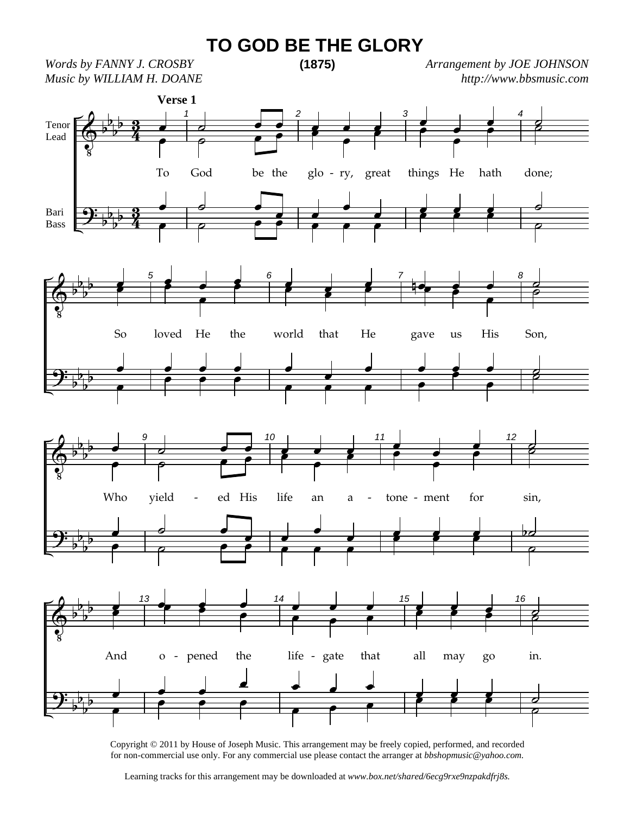## **TO GOD BE THE GLORY**

*Words by FANNY J. CROSBY Music by WILLIAM H. DOANE*  **(1875)**

*Arrangement by JOE JOHNSON http://www.bbsmusic.com*



Copyright © 2011 by House of Joseph Music. This arrangement may be freely copied, performed, and recorded for non-commercial use only. For any commercial use please contact the arranger at *bbshopmusic@yahoo.com.*

Learning tracks for this arrangement may be downloaded at *www.box.net/shared/6ecg9rxe9nzpakdfrj8s.*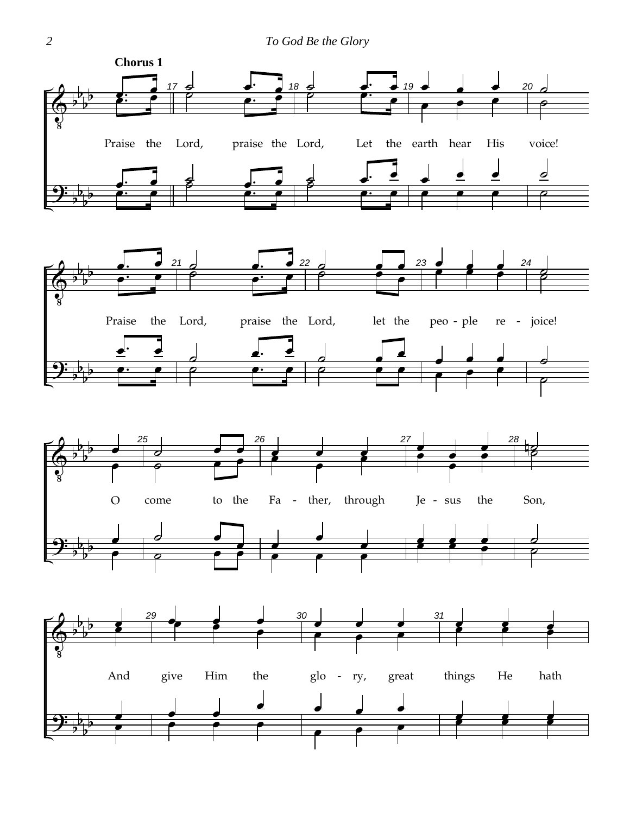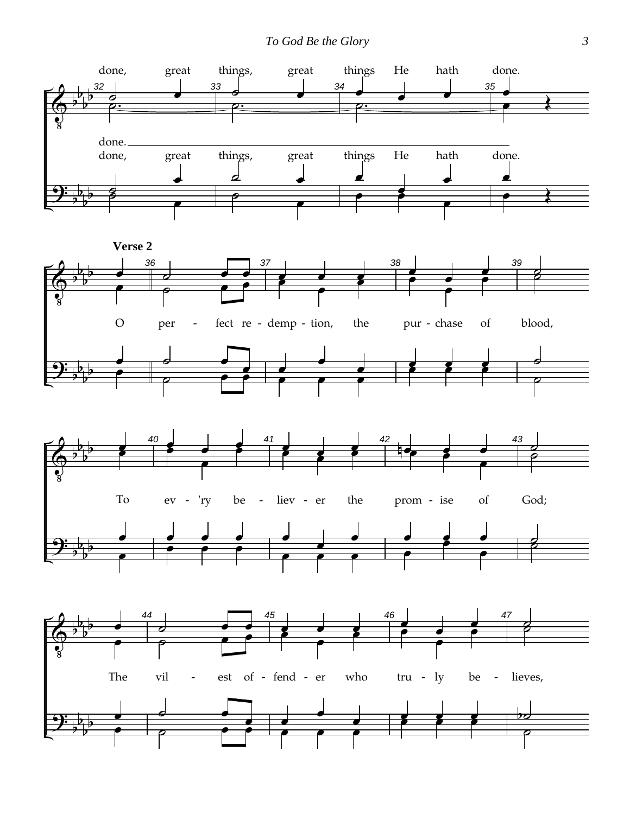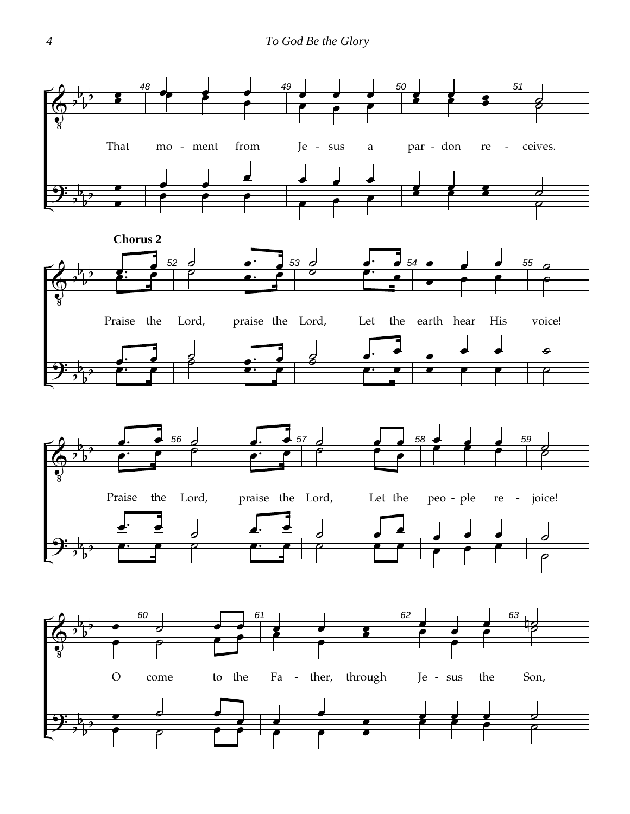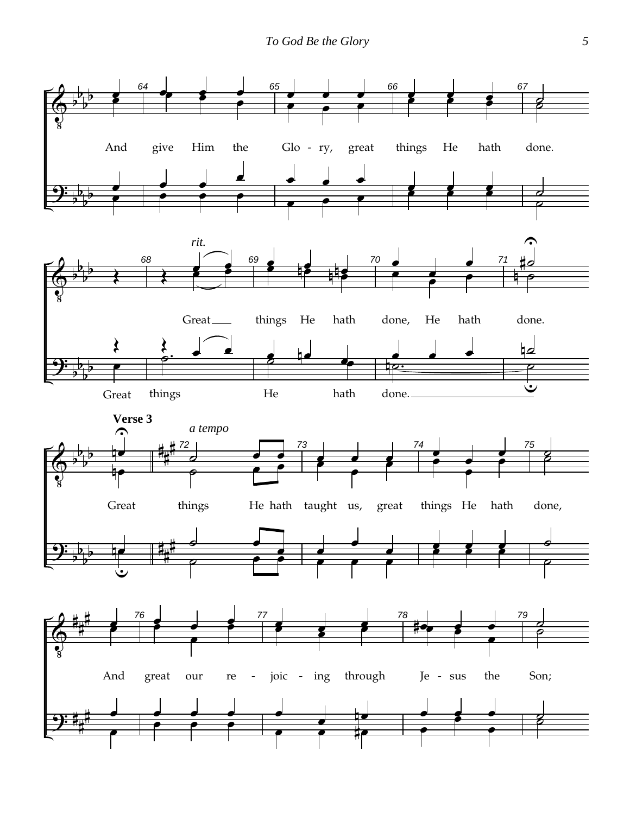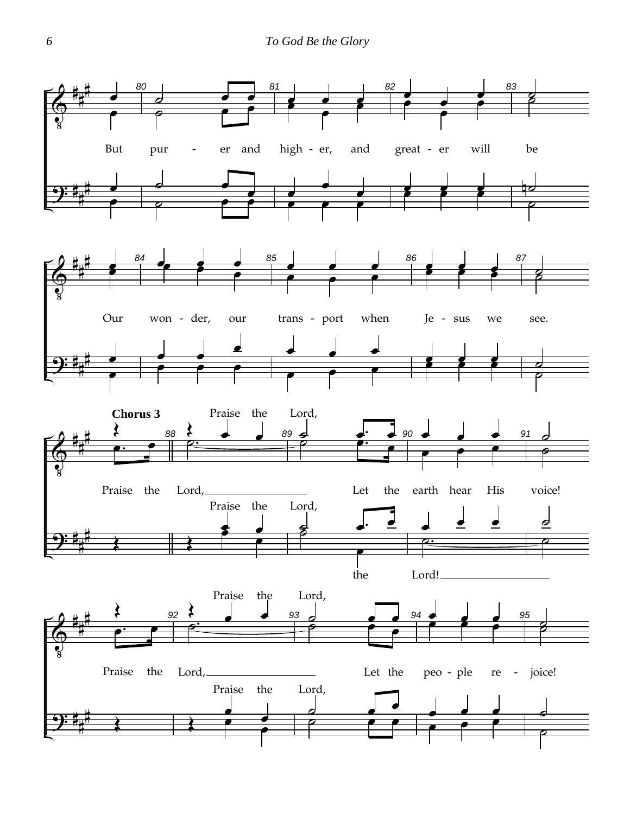